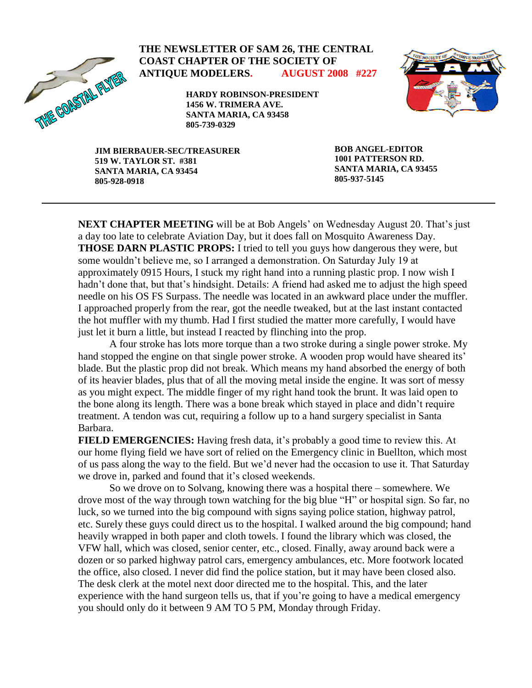

## **THE NEWSLETTER OF SAM 26, THE CENTRAL COAST CHAPTER OF THE SOCIETY OF ANTIQUE MODELERS. AUGUST 2008 #227**

**HARDY ROBINSON-PRESIDENT 1456 W. TRIMERA AVE. SANTA MARIA, CA 93458 805-739-0329**



**JIM BIERBAUER-SEC/TREASURER 519 W. TAYLOR ST. #381 SANTA MARIA, CA 93454 805-928-0918**

**BOB ANGEL-EDITOR 1001 PATTERSON RD. SANTA MARIA, CA 93455 805-937-5145**

**NEXT CHAPTER MEETING** will be at Bob Angels' on Wednesday August 20. That's just a day too late to celebrate Aviation Day, but it does fall on Mosquito Awareness Day. **THOSE DARN PLASTIC PROPS:** I tried to tell you guys how dangerous they were, but a day too late to celebrate Aviation Day, but it does fall on Mosquito Awareness Day.<br>**THOSE DARN PLASTIC PROPS:** I tried to tell you guys how dangerous they were, l<br>some wouldn't believe me, so I arranged a demonstration. approximately 0915 Hours, I stuck my right hand into a running plastic prop. I now wish I some wouldn't believe me, so I arranged a demonstration. On Saturday July 19 at<br>approximately 0915 Hours, I stuck my right hand into a running plastic prop. I now wish I<br>hadn't done that, but that's hindsight. Details: A f needle on his OS FS Surpass. The needle was located in an awkward place under the muffler. I approached properly from the rear, got the needle tweaked, but at the last instant contacted the hot muffler with my thumb. Had I first studied the matter more carefully, I would have just let it burn a little, but instead I reacted by flinching into the prop.

A four stroke has lots more torque than a two stroke during a single power stroke. My hand stopped the engine on that single power stroke. A wooden prop would have sheared its<sup>7</sup> blade. But the plastic prop did not break. Which means my hand absorbed the energy of both of its heavier blades, plus that of all the moving metal inside the engine. It was sort of messy<br>as you might expect. The middle finger of my right hand took the brunt. It was laid open to<br>the bone along its length. There as you might expect. The middle finger of my right hand took the brunt. It was laid open to treatment. A tendon was cut, requiring a follow up to a hand surgery specialist in Santa Barbara.

**FIELD EMERGENCIES:** Having fresh data, it's probably a good time to review this. At our home flying field we have sort of relied on the Emergency clinic in Buellton, which most FIELD EMERGENCIES: Having fresh data, it's probably a good time to review this. At<br>our home flying field we have sort of relied on the Emergency clinic in Buellton, which most<br>of us pass along the way to the field. But we' our home flying field we have sort of relied on the Emergency<br>of us pass along the way to the field. But we'd never had the<br>we drove in, parked and found that it's closed weekends. of us pass along the way to the field. But we'd never had the occasion to use it. That Saturday<br>we drove in, parked and found that it's closed weekends.<br>So we drove on to Solvang, knowing there was a hospital there – somew

drove most of the way through town watching for the big blue "H" or hospital sign. So far, no luck, so we turned into the big compound with signs saying police station, highway patrol, etc. Surely these guys could direct us to the hospital. I walked around the big compound; hand heavily wrapped in both paper and cloth towels. I found the library which was closed, the VFW hall, which was closed, senior center, etc., closed. Finally, away around back were a dozen or so parked highway patrol cars, emergency ambulances, etc. More footwork located the office, also closed. I never did find the police station, but it may have been closed also. The desk clerk at the motel next door directed me to the hospital. This, and the later experience with the hand surgeon tells us, that if you're going to have a medical emergency you should only do it between 9 AM TO 5 PM, Monday through Friday.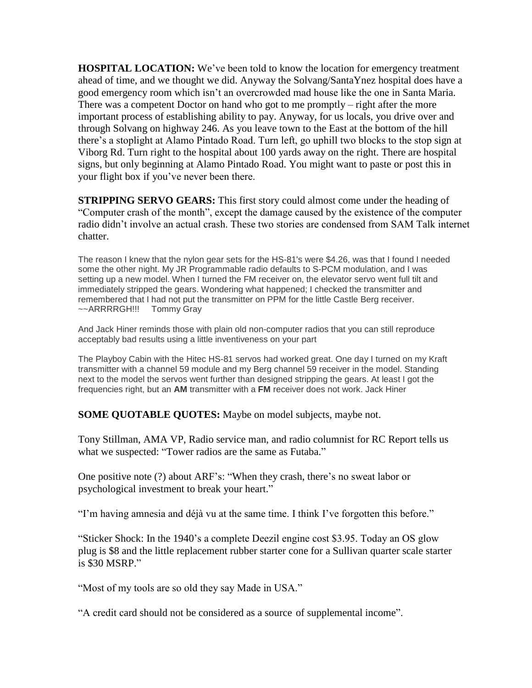**HOSPITAL LOCATION:** Weíve been told to know the location for emergency treatment ahead of time, and we thought we did. Anyway the Solvang/SantaYnez hospital does have a good emergency room which isn't an overcrowded mad house like the one in Santa Maria.<br>There was a competent Doctor on hand who got to HOSPITAL LOCATION: We've been told to know the location for emergency treatment ahead of time, and we thought we did. Anyway the Solvang/SantaYnez hospital does have a good emergency room which isn't an overcrowded mad hou important process of establishing ability to pay. Anyway, for us locals, you drive over and<br>through Solvang on highway 246. As you leave town to the East at the bottom of the hill<br>there's a stoplight at Alamo Pintado Road. through Solvang on highway 246. As you leave town to the East at the bottom of the hill Viborg Rd. Turn right to the hospital about 100 yards away on the right. There are hospital your flight box if youíve never been there. signs, but only beginning at Alamo Pintado Road. You might want to paste or post this in

**STRIPPING SERVO GEARS:** This first story could almost come under the heading of **STRIPPING SERVO GEARS:** This first story could almost come under the heading of **<sup>1</sup>Computer** crash of the month<sup>?</sup>, except the damage cause **STRIPPING SERVO GEARS:** This first story could almost come under the heading of "Computer crash of the month", except the damage caused by the existence of the computer radio didn't involve an actual crash. These two stor chatter.

The reason I knew that the nylon gear sets for the HS-81's were \$4.26, was that I found I needed some the other night. My JR Programmable radio defaults to S-PCM modulation, and I was setting up a new model. When I turned the FM receiver on, the elevator servo went full tilt and immediately stripped the gears. Wondering what happened; I checked the transmitter and remembered that I had not put the transmitter on PPM for the little Castle Berg receiver. ~~ARRRRGH!!! Tommy Gray

And Jack Hiner reminds those with plain old non-computer radios that you can still reproduce acceptably bad results using a little inventiveness on your part

The Playboy Cabin with the Hitec HS-81 servos had worked great. One day I turned on my Kraft transmitter with a channel 59 module and my Berg channel 59 receiver in the model. Standing next to the model the servos went further than designed stripping the gears. At least I got the frequencies right, but an **AM** transmitter with a **FM** receiver does notwork. Jack Hiner

**SOME QUOTABLE QUOTES:** Maybe on model subjects, maybe not.

Tony Stillman, AMA VP, Radio service man, and radio columnist for RC Report tells us Tony Stillman, AMA VP, Radio service man, and radio columnist f<br>what we suspected: "Tower radios are the same as Futaba." what we suspected: "Tower radios are the same as Futaba."<br>One positive note (?) about ARF's: "When they crash, there's no sweat labor or

One positive note (?) about ARF's: "When they crash, psychological investment to break your heart." psychological investment to break your heart."

psychological investment to break your heart."<br>"I'm having amnesia and déjà vu at the same time. I think I've forgotten this before."

Sticker Shock: In the 1940's a complete Deezil engine cost \$3.95. Today an OS glow plug is \$8 and the little replacement rubber starter cone for a Sullivan quarter scale starter "Sticker Shock: In the *i*<br>plug is \$8 and the little<br>is \$30 MSRP." is \$30 MSRP." is \$30 MSRP."<br>"Most of my tools are so old they say Made in USA."

"A credit card should not be considered as a source of supplemental income".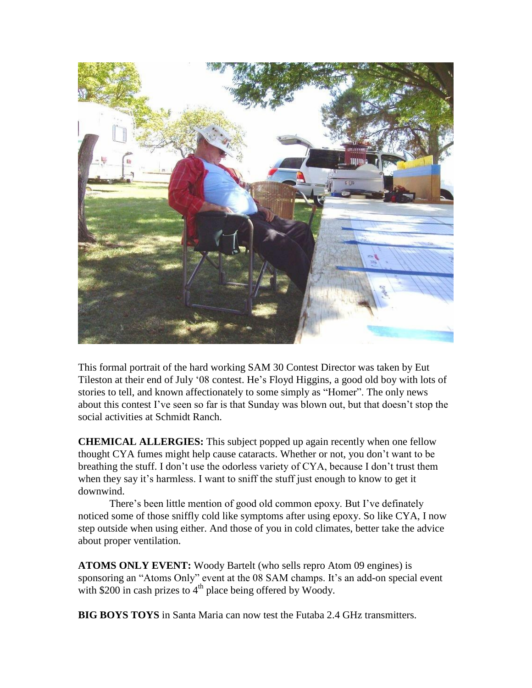

This formal portrait of the hard working SAM 30 Contest Director was taken by Eut This formal portrait of the hard working SAM 30 Contest Director was taken by Eut<br>Tileston at their end of July '08 contest. He's Floyd Higgins, a good old boy with lots of This formal portrait of the hard working SAM 30 Contest Director was taken by Eut<br>Tileston at their end of July '08 contest. He's Floyd Higgins, a good old boy with lots of<br>stories to tell, and known affectionately to some stories to tell, and known affectionately to some simply as "Homer". The only news about this contest I've seen so far is that Sunday was blown out, but that doesn't stop the social activities at Schmidt Ranch.

**CHEMICAL ALLERGIES:** This subject popped up again recently when one fellow **CHEMICAL ALLERGIES:** This subject popped up again recently when one fellow<br>thought CYA fumes might help cause cataracts. Whether or not, you don't want to be **CHEMICAL ALLERGIES:** This subject popped up again recently when one fellow thought CYA fumes might help cause cataracts. Whether or not, you don't want to be breathing the stuff. I don't use the odorless variety of CYA, b thought CYA fumes might help cause cataracts. Whether or not, you don't want to be<br>breathing the stuff. I don't use the odorless variety of CYA, because I don't trust them<br>when they say it's harmless. I want to sniff the s downwind. when they say it's harmless. I want to sniff the stuff just enough to know to get it<br>downwind.<br>There's been little mention of good old common epoxy. But I've definately

noticed some of those sniffly cold like symptoms after using epoxy. So like CYA, I now step outside when using either. And those of you in cold climates, better take the advice about proper ventilation.

**ATOMS ONLY EVENT:** Woody Bartelt (who sells repro Atom 09 engines) is sponsoring an "Atoms Only" event at the 08 SAM champs. It's an add-on special event with \$200 in cash prizes to  $4<sup>th</sup>$  place being offered by Woody.

**BIG BOYS TOYS** in Santa Maria can now test the Futaba 2.4 GHz transmitters.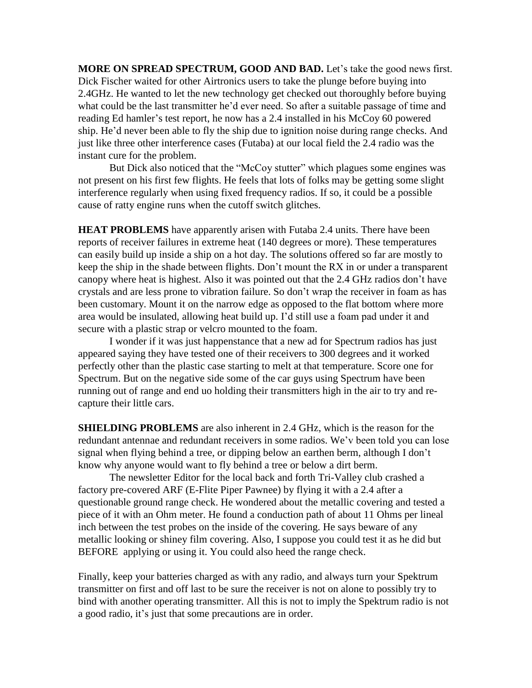**MORE** ON **SPREAD SPECTRUM, GOOD AND BAD.** Let's take the good news first. Dick Fischer waited for other Airtronics users to take the plunge before buying into 2.4GHz. He wanted to let the new technology get checked out thoroughly before buying Dick Fischer waited for other Airtronics users to take the plunge before buying into<br>2.4GHz. He wanted to let the new technology get checked out thoroughly before buying<br>what could be the last transmitter he'd ever need. S 2.4GHz. He wanted to let the new technology get checked out thoroughly before buying what could be the last transmitter he'd ever need. So after a suitable passage of time and reading Ed hamler's test report, he now has a what could be the last transmitter he'd ever need. So after a suitable passage of time and<br>reading Ed hamler's test report, he now has a 2.4 installed in his McCoy 60 powered<br>ship. He'd never been able to fly the ship due just like three other interference cases (Futaba) at our local field the 2.4 radio was the instant cure for the problem.

But Dick also noticed that the "McCoy stutter" which plagues some engines was not present on his first few flights. He feels that lots of folks may be getting some slight interference regularly when using fixed frequency radios. If so, it could be a possible cause of ratty engine runs when the cutoff switch glitches.

**HEAT PROBLEMS** have apparently arisen with Futaba 2.4 units. There have been reports of receiver failures in extreme heat (140 degrees or more). These temperatures can easily build up inside a ship on a hot day. The solutions offered so far are mostly to reports of receiver failures in extreme heat (140 degrees or more). These temperatures<br>can easily build up inside a ship on a hot day. The solutions offered so far are mostly to<br>keep the ship in the shade between flights. can easily build up inside a ship on a hot day. The solutions offered so far are mostly to<br>keep the ship in the shade between flights. Don't mount the RX in or under a transparent<br>canopy where heat is highest. Also it was keep the ship in the shade between flights. Don't mount the RX in or under a transparent<br>canopy where heat is highest. Also it was pointed out that the 2.4 GHz radios don't have<br>crystals and are less prone to vibration fai been customary. Mount it on the narrow edge as opposed to the flat bottom where more crystals and are less prone to vibration failure. So don't wrap the receiver in foam as has<br>been customary. Mount it on the narrow edge as opposed to the flat bottom where more<br>area would be insulated, allowing heat build secure with a plastic strap or velcro mounted to the foam.

I wonder if it was just happenstance that a new ad for Spectrum radios has just appeared saying they have tested one of their receivers to 300 degrees and it worked perfectly other than the plastic case starting to melt at that temperature. Score one for Spectrum. But on the negative side some of the car guys using Spectrum have been running out of range and end uo holding their transmitters high in the air to try and re capture their little cars.

**SHIELDING PROBLEMS** are also inherent in 2.4 GHz, which is the reason for the **SHIELDING PROBLEMS** are also inherent in 2.4 GHz, which is the reason for the redundant antennae and redundant receivers in some radios. We'v been told you can lose **SHIELDING PROBLEMS** are also inherent in 2.4 GHz, which is the reason for the redundant antennae and redundant receivers in some radios. We'v been told you can lose signal when flying behind a tree, or dipping below an ea know why anyone would want to fly behind a tree or below a dirt berm.

The newsletter Editor for the local back and forth Tri-Valley club crashed a factory pre-covered ARF (E-Flite Piper Pawnee) by flying it with a 2.4 after a questionable ground range check. He wondered about the metallic covering and tested a piece of it with an Ohm meter. He found a conduction path of about 11 Ohms per lineal inch between the test probes on the inside of the covering. He says beware of any metallic looking or shiney film covering. Also, I suppose you could testit as he did but BEFORE applying or using it. You could also heed the range check.

Finally, keep your batteries charged as with any radio, and always turn your Spektrum transmitter on first and off last to be sure the receiver is not on alone to possibly try to <sup>a</sup> good radio, itís just that some precautions are in order.bind with another operating transmitter. All this is not to imply the Spektrum radio is not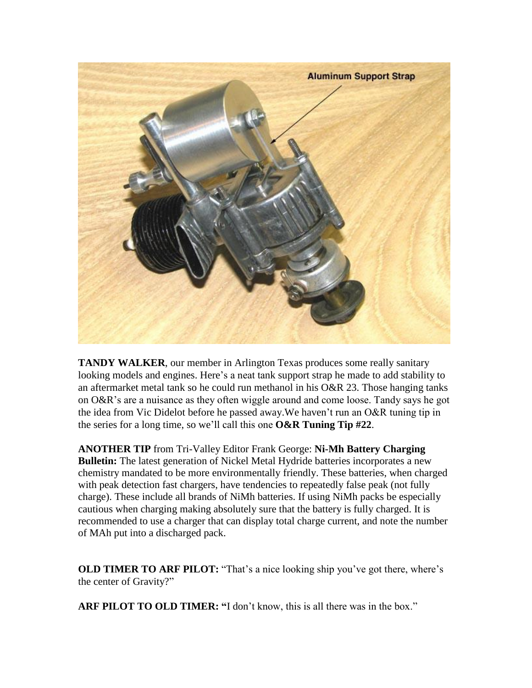

**TANDY WALKER**, our member in Arlington Texas produces some really sanitary TANDY WALKER, our member in Arlington Texas produces some really sanitary<br>looking models and engines. Here's a neat tank support strap he made to add stability to an aftermarket metal tank so he could run methanol in his O&R 23. Those hanging tanks looking models and engines. Here's a neat tank support strap he made to add stability to<br>an aftermarket metal tank so he could run methanol in his O&R 23. Those hanging tanks<br>on O&R's are a nuisance as they often wiggle ar an aftermarket metal tank so he could run methanol in his O&R 23. Those hanging tanks<br>on O&R's are a nuisance as they often wiggle around and come loose. Tandy says he got<br>the idea from Vic Didelot before he passed away.We on O&R's are a nuisance as they often wiggle around and come loose. Tand<br>the idea from Vic Didelot before he passed away.We haven't run an O&R to<br>the series for a long time, so we'll call this one **O&R Tuning Tip** #22.

**ANOTHER TIP** from Tri-Valley Editor Frank George: **Ni-Mh Battery Charging Bulletin:** The latest generation of Nickel Metal Hydride batteries incorporates a new chemistry mandated to be more environmentally friendly. These batteries, when charged with peak detection fast chargers, have tendencies to repeatedly false peak (not fully charge). These include all brands of NiMh batteries. If using NiMh packs be especially cautious when charging making absolutely sure that the battery is fully charged. It is recommended to use a charger that can display total charge current, and note the number of MAh put into a discharged pack.

**OLD TIMER TO ARF PILOT:** "That's a nice looking ship you've got there, where's **OLD TIMER TO ARF PILO**<br>the center of Gravity?"

**ARF PILOT TO OLD TIMER:** "I don't know, this is all there was in the box."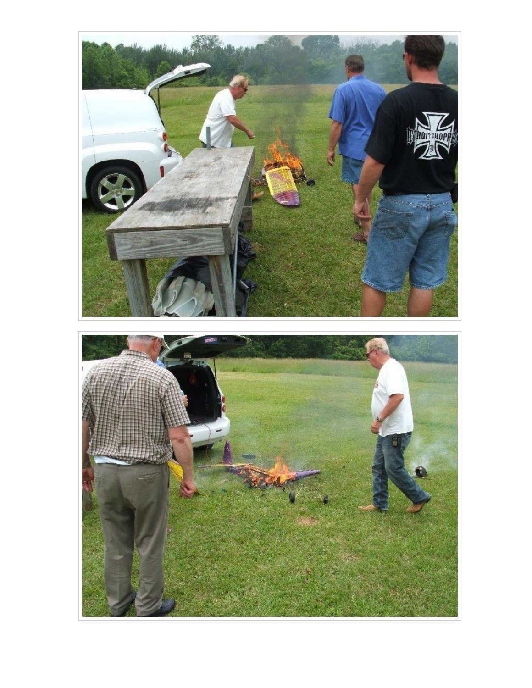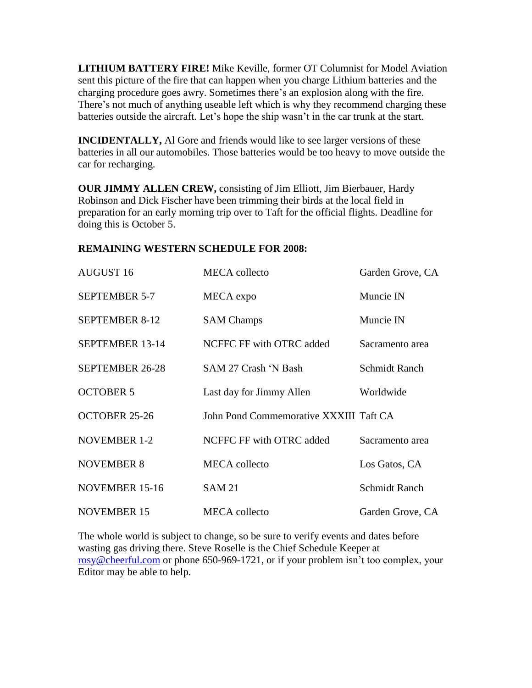**LITHIUM BATTERY FIRE!** Mike Keville, former OT Columnist for Model Aviation sent this picture of the fire that can happen when you charge Lithium batteries and the **LITHIUM BATTERY FIRE!** Mike Keville, former OT Columnist for Model Aviation sent this picture of the fire that can happen when you charge Lithium batteries and the charging procedure goes awry. Sometimes there's an explos sent this picture of the fire that can happen when you charge Lithium batteries and the charging procedure goes awry. Sometimes there's an explosion along with the fire.<br>There's not much of anything useable left which is w There's not much of anything useable left which is why they recommend charging these batteries outside the aircraft. Let's hope the ship wasn't in the car trunk at the start.

**INCIDENTALLY,** Al Gore and friends would like to see larger versions of these batteries in all our automobiles. Those batteries would be too heavy to move outside the car for recharging.

**OUR JIMMY ALLEN CREW,** consisting of Jim Elliott, Jim Bierbauer, Hardy Robinson and Dick Fischer have been trimming their birds at the local field in preparation for an early morning trip over to Taft for the official flights. Deadline for doing this is October 5.

| <b>AUGUST 16</b>       | <b>MECA</b> collecto                   | Garden Grove, CA     |
|------------------------|----------------------------------------|----------------------|
| <b>SEPTEMBER 5-7</b>   | MECA expo                              | Muncie IN            |
| <b>SEPTEMBER 8-12</b>  | <b>SAM Champs</b>                      | Muncie IN            |
| SEPTEMBER 13-14        | NCFFC FF with OTRC added               | Sacramento area      |
| <b>SEPTEMBER 26-28</b> | SAM 27 Crash 'N Bash                   | <b>Schmidt Ranch</b> |
| <b>OCTOBER 5</b>       | Last day for Jimmy Allen               | Worldwide            |
| <b>OCTOBER 25-26</b>   | John Pond Commemorative XXXIII Taft CA |                      |
| <b>NOVEMBER 1-2</b>    | NCFFC FF with OTRC added               | Sacramento area      |
| <b>NOVEMBER 8</b>      | <b>MECA</b> collecto                   | Los Gatos, CA        |
| <b>NOVEMBER 15-16</b>  | <b>SAM 21</b>                          | <b>Schmidt Ranch</b> |
| <b>NOVEMBER 15</b>     | <b>MECA</b> collecto                   | Garden Grove, CA     |

## **REMAINING WESTERN SCHEDULE FOR 2008:**

The whole world is subject to change, so be sure to verify events and dates before wasting gas driving there. Steve Roselle is the Chief Schedule Keeper at  $\cos\phi$  cheerful.com or phone 650-969-1721, or if your problem isn't too complex, your Editor may be able to help.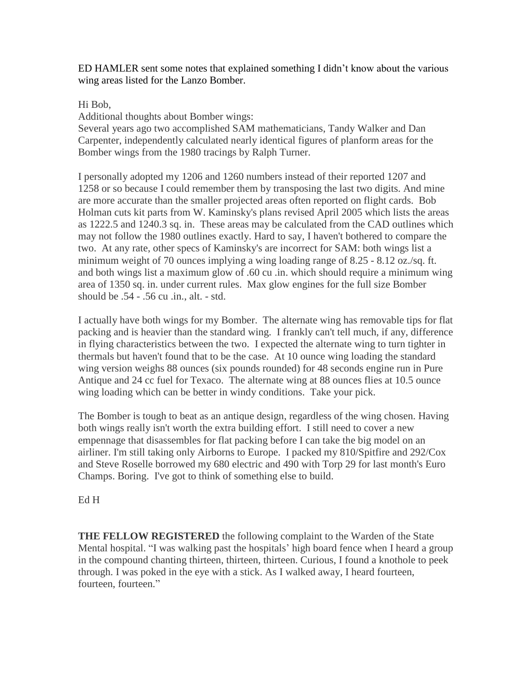ED HAMLER sent some notes that explained something I didn't know about the various wing areas listed for the Lanzo Bomber.

Hi Bob,

Additional thoughts about Bomber wings:

Several years ago two accomplished SAM mathematicians, Tandy Walker and Dan Carpenter, independently calculated nearly identical figures of planform areas for the Bomber wings from the 1980 tracings by Ralph Turner.

I personally adopted my 1206 and 1260 numbers instead of their reported 1207 and 1258 or so because I could remember them by transposing the last two digits. And mine are more accurate than the smaller projected areas often reported on flight cards. Bob Holman cuts kit parts from W. Kaminsky's plans revised April 2005 which lists the areas as 1222.5 and 1240.3 sq. in. These areas may be calculated from the CAD outlines which may not follow the 1980 outlines exactly. Hard to say,I haven't bothered to compare the two. At any rate, other specs of Kaminsky's are incorrect for SAM: both wings list a minimum weight of 70 ounces implying a wing loading range of 8.25 - 8.12 oz./sq. ft. and both wings list a maximum glow of.60 cu .in. which should require a minimum wing area of 1350 sq. in. under current rules. Max glow engines for the full size Bomber should be .54 - .56 cu .in., alt. - std.

I actually have both wings for my Bomber. The alternate wing has removable tips for flat packing and is heavier than the standard wing. I frankly can't tell much, if any, difference in flying characteristics between the two. I expected the alternate wing to turn tighter in thermals but haven't found that to be the case. At 10 ounce wing loading the standard wing version weighs 88 ounces (six pounds rounded) for 48 seconds engine run in Pure Antique and 24 cc fuel for Texaco. The alternate wing at 88 ounces flies at 10.5 ounce wing loading which can be better in windy conditions. Take your pick.

The Bomber is tough to beat as an antique design, regardless of the wing chosen. Having both wings really isn't worth the extra building effort. I still need to cover a new empennage that disassembles for flat packing before I can take the big model on an airliner. I'm still taking only Airborns to Europe. I packed my 810/Spitfire and 292/Cox and Steve Roselle borrowed my 680 electric and 490 with Torp 29 for last month's Euro Champs. Boring. I've got to think of something else to build.

Ed H

**THE FELLOW REGISTERED** the following complaint to the Warden of the State Mental hospital. "I was walking past the hospitals' high board fence when I heard a group in the compound chanting thirteen, thirteen, thirteen. Curious, I found a knothole to peek through. I was poked in the eye with a stick. As I walked away, I heard fourteen, fourteen.<sup>7</sup> through. I was poked in the eye with a stick. As I walked away, I heard fourteen,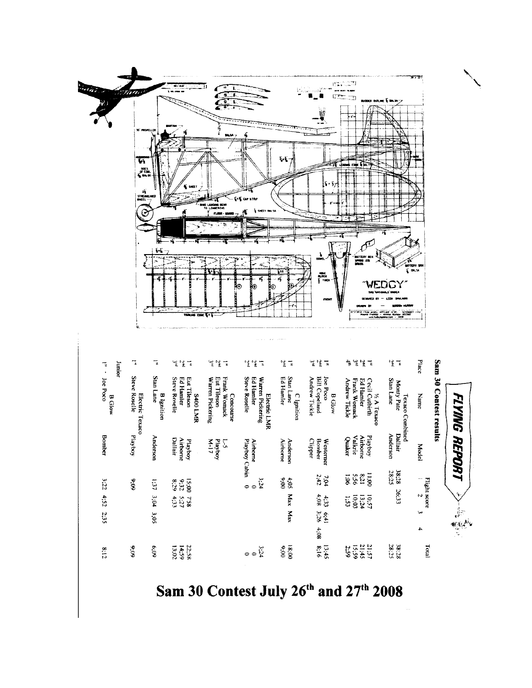

## Sam 30 Contest July 26th and 27th 2008